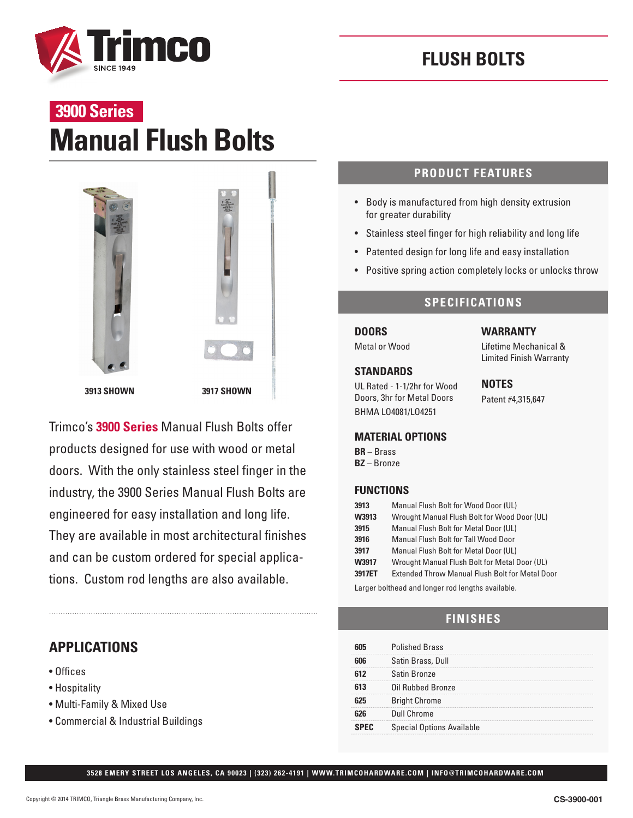



# **Manual Flush Bolts 3900 Series**



Trimco's **3900 Series** Manual Flush Bolts offer products designed for use with wood or metal doors. With the only stainless steel finger in the industry, the 3900 Series Manual Flush Bolts are engineered for easy installation and long life. They are available in most architectural finishes and can be custom ordered for special applications. Custom rod lengths are also available.

## **APPLICATIONS**

- Offices
- Hospitality
- Multi-Family & Mixed Use
- Commercial & Industrial Buildings

## **PRODUCT FEATURES**

- Body is manufactured from high density extrusion for greater durability
- Stainless steel finger for high reliability and long life
- Patented design for long life and easy installation
- Positive spring action completely locks or unlocks throw

### **SPECIFICATIONS**

**DOORS**

Metal or Wood

### **STANDARDS**

UL Rated - 1-1/2hr for Wood Doors, 3hr for Metal Doors BHMA LO4081/LO4251

**WARRANTY** 

Lifetime Mechanical & Limited Finish Warranty

**NOTES** Patent #4,315,647

### **MATERIAL OPTIONS**

**BR** – Brass **BZ** – Bronze

### **FUNCTIONS**

| 3913   | Manual Flush Bolt for Wood Door (UL)                   |
|--------|--------------------------------------------------------|
| W3913  | Wrought Manual Flush Bolt for Wood Door (UL)           |
| 3915   | Manual Flush Bolt for Metal Door (UL)                  |
| 3916   | Manual Flush Bolt for Tall Wood Door                   |
| 3917   | <b>Manual Flush Bolt for Metal Door (UL)</b>           |
| W3917  | Wrought Manual Flush Bolt for Metal Door (UL)          |
| 3917ET | <b>Extended Throw Manual Flush Bolt for Metal Door</b> |
|        |                                                        |

Larger bolthead and longer rod lengths available.

## **FINISHES**

|             | <b>Polished Brass</b>            |
|-------------|----------------------------------|
|             | Satin Brass, Dull                |
|             | Satin Bronze                     |
|             | Oil Rubbed Bronze                |
|             | <b>Bright Chrome</b>             |
|             | Dull Chrome                      |
| <b>SPFC</b> | <b>Special Options Available</b> |

**3528 EMERY STREET LOS ANGELES, CA 90023 | (323) 262-4191 | WWW.TRIMCOHARDWARE.COM | INFO@TRIMCOHARDWARE.COM**